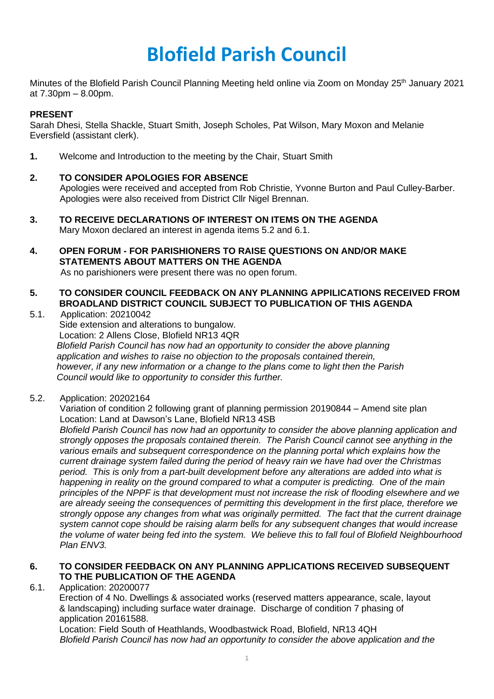# **Blofield Parish Council**

Minutes of the Blofield Parish Council Planning Meeting held online via Zoom on Monday 25<sup>th</sup> January 2021 at 7.30pm – 8.00pm.

#### **PRESENT**

Sarah Dhesi, Stella Shackle, Stuart Smith, Joseph Scholes, Pat Wilson, Mary Moxon and Melanie Eversfield (assistant clerk).

**1.** Welcome and Introduction to the meeting by the Chair, Stuart Smith

## **2. TO CONSIDER APOLOGIES FOR ABSENCE**

Apologies were received and accepted from Rob Christie, Yvonne Burton and Paul Culley-Barber. Apologies were also received from District Cllr Nigel Brennan.

- **3. TO RECEIVE DECLARATIONS OF INTEREST ON ITEMS ON THE AGENDA** Mary Moxon declared an interest in agenda items 5.2 and 6.1.
- **4. OPEN FORUM - FOR PARISHIONERS TO RAISE QUESTIONS ON AND/OR MAKE STATEMENTS ABOUT MATTERS ON THE AGENDA**  As no parishioners were present there was no open forum.

## **5. TO CONSIDER COUNCIL FEEDBACK ON ANY PLANNING APPILICATIONS RECEIVED FROM BROADLAND DISTRICT COUNCIL SUBJECT TO PUBLICATION OF THIS AGENDA**

- 5.1. Application: 20210042 Side extension and alterations to bungalow. Location: 2 Allens Close, Blofield NR13 4QR *Blofield Parish Council has now had an opportunity to consider the above planning application and wishes to raise no objection to the proposals contained therein, however, if any new information or a change to the plans come to light then the Parish Council would like to opportunity to consider this further.*
- 5.2. Application: 20202164

Variation of condition 2 following grant of planning permission 20190844 – Amend site plan Location: Land at Dawson's Lane, Blofield NR13 4SB

*Blofield Parish Council has now had an opportunity to consider the above planning application and strongly opposes the proposals contained therein. The Parish Council cannot see anything in the various emails and subsequent correspondence on the planning portal which explains how the current drainage system failed during the period of heavy rain we have had over the Christmas period. This is only from a part-built development before any alterations are added into what is happening in reality on the ground compared to what a computer is predicting. One of the main principles of the NPPF is that development must not increase the risk of flooding elsewhere and we are already seeing the consequences of permitting this development in the first place, therefore we strongly oppose any changes from what was originally permitted. The fact that the current drainage system cannot cope should be raising alarm bells for any subsequent changes that would increase the volume of water being fed into the system. We believe this to fall foul of Blofield Neighbourhood Plan ENV3.*

## **6. TO CONSIDER FEEDBACK ON ANY PLANNING APPLICATIONS RECEIVED SUBSEQUENT TO THE PUBLICATION OF THE AGENDA**

6.1. Application: 20200077

Erection of 4 No. Dwellings & associated works (reserved matters appearance, scale, layout & landscaping) including surface water drainage. Discharge of condition 7 phasing of application 20161588.

Location: Field South of Heathlands, Woodbastwick Road, Blofield, NR13 4QH *Blofield Parish Council has now had an opportunity to consider the above application and the*